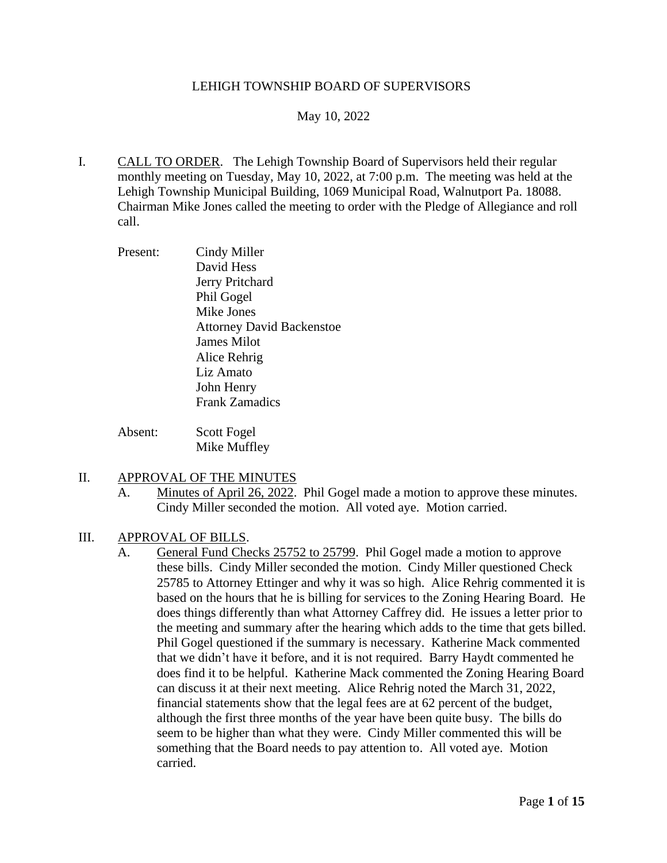### LEHIGH TOWNSHIP BOARD OF SUPERVISORS

### May 10, 2022

- I. CALL TO ORDER. The Lehigh Township Board of Supervisors held their regular monthly meeting on Tuesday, May 10, 2022, at 7:00 p.m. The meeting was held at the Lehigh Township Municipal Building, 1069 Municipal Road, Walnutport Pa. 18088. Chairman Mike Jones called the meeting to order with the Pledge of Allegiance and roll call.
	- Present: Cindy Miller David Hess Jerry Pritchard Phil Gogel Mike Jones Attorney David Backenstoe James Milot Alice Rehrig Liz Amato John Henry Frank Zamadics
	- Absent: Scott Fogel Mike Muffley

#### II. APPROVAL OF THE MINUTES

A. Minutes of April 26, 2022. Phil Gogel made a motion to approve these minutes. Cindy Miller seconded the motion. All voted aye. Motion carried.

#### III. APPROVAL OF BILLS.

A. General Fund Checks 25752 to 25799. Phil Gogel made a motion to approve these bills. Cindy Miller seconded the motion. Cindy Miller questioned Check 25785 to Attorney Ettinger and why it was so high. Alice Rehrig commented it is based on the hours that he is billing for services to the Zoning Hearing Board. He does things differently than what Attorney Caffrey did. He issues a letter prior to the meeting and summary after the hearing which adds to the time that gets billed. Phil Gogel questioned if the summary is necessary. Katherine Mack commented that we didn't have it before, and it is not required. Barry Haydt commented he does find it to be helpful. Katherine Mack commented the Zoning Hearing Board can discuss it at their next meeting. Alice Rehrig noted the March 31, 2022, financial statements show that the legal fees are at 62 percent of the budget, although the first three months of the year have been quite busy. The bills do seem to be higher than what they were. Cindy Miller commented this will be something that the Board needs to pay attention to. All voted aye. Motion carried.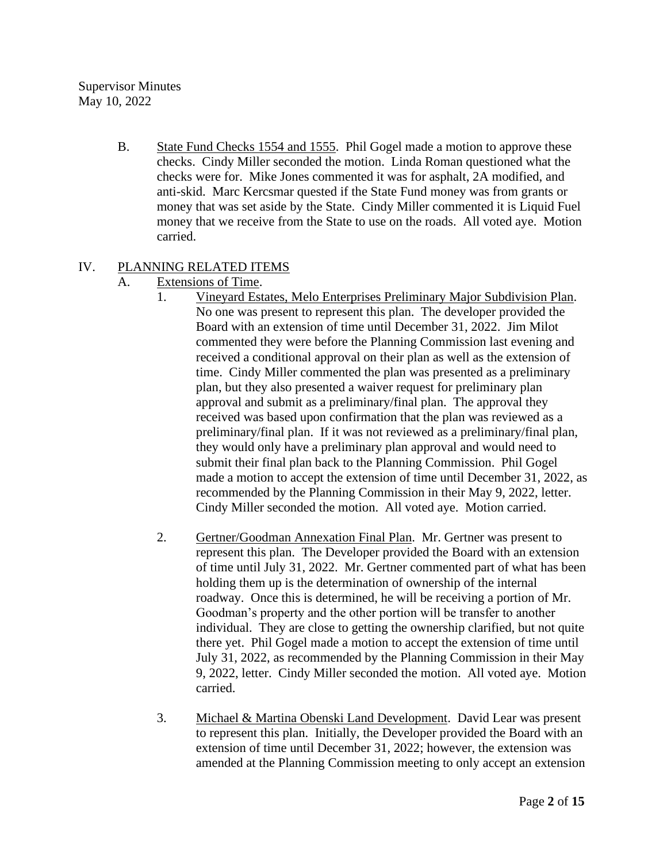Supervisor Minutes May 10, 2022

> B. State Fund Checks 1554 and 1555. Phil Gogel made a motion to approve these checks. Cindy Miller seconded the motion. Linda Roman questioned what the checks were for. Mike Jones commented it was for asphalt, 2A modified, and anti-skid. Marc Kercsmar quested if the State Fund money was from grants or money that was set aside by the State. Cindy Miller commented it is Liquid Fuel money that we receive from the State to use on the roads. All voted aye. Motion carried.

# IV. PLANNING RELATED ITEMS

- A. Extensions of Time.
	- 1. Vineyard Estates, Melo Enterprises Preliminary Major Subdivision Plan. No one was present to represent this plan. The developer provided the Board with an extension of time until December 31, 2022. Jim Milot commented they were before the Planning Commission last evening and received a conditional approval on their plan as well as the extension of time. Cindy Miller commented the plan was presented as a preliminary plan, but they also presented a waiver request for preliminary plan approval and submit as a preliminary/final plan. The approval they received was based upon confirmation that the plan was reviewed as a preliminary/final plan. If it was not reviewed as a preliminary/final plan, they would only have a preliminary plan approval and would need to submit their final plan back to the Planning Commission. Phil Gogel made a motion to accept the extension of time until December 31, 2022, as recommended by the Planning Commission in their May 9, 2022, letter. Cindy Miller seconded the motion. All voted aye. Motion carried.
	- 2. Gertner/Goodman Annexation Final Plan. Mr. Gertner was present to represent this plan. The Developer provided the Board with an extension of time until July 31, 2022. Mr. Gertner commented part of what has been holding them up is the determination of ownership of the internal roadway. Once this is determined, he will be receiving a portion of Mr. Goodman's property and the other portion will be transfer to another individual. They are close to getting the ownership clarified, but not quite there yet. Phil Gogel made a motion to accept the extension of time until July 31, 2022, as recommended by the Planning Commission in their May 9, 2022, letter. Cindy Miller seconded the motion. All voted aye. Motion carried.
	- 3. Michael & Martina Obenski Land Development. David Lear was present to represent this plan. Initially, the Developer provided the Board with an extension of time until December 31, 2022; however, the extension was amended at the Planning Commission meeting to only accept an extension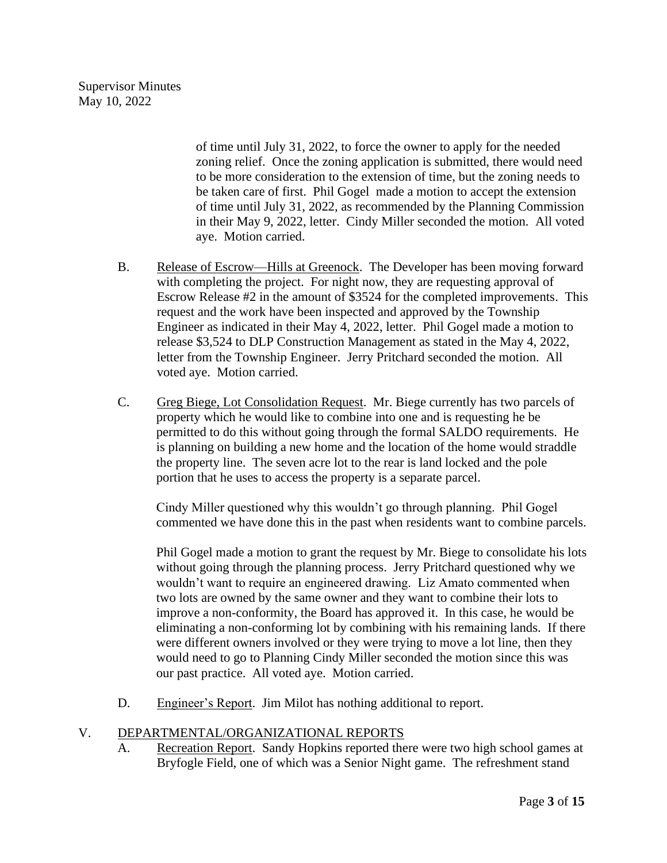of time until July 31, 2022, to force the owner to apply for the needed zoning relief. Once the zoning application is submitted, there would need to be more consideration to the extension of time, but the zoning needs to be taken care of first. Phil Gogel made a motion to accept the extension of time until July 31, 2022, as recommended by the Planning Commission in their May 9, 2022, letter. Cindy Miller seconded the motion. All voted aye. Motion carried.

- B. Release of Escrow—Hills at Greenock. The Developer has been moving forward with completing the project. For night now, they are requesting approval of Escrow Release #2 in the amount of \$3524 for the completed improvements. This request and the work have been inspected and approved by the Township Engineer as indicated in their May 4, 2022, letter. Phil Gogel made a motion to release \$3,524 to DLP Construction Management as stated in the May 4, 2022, letter from the Township Engineer. Jerry Pritchard seconded the motion. All voted aye. Motion carried.
- C. Greg Biege, Lot Consolidation Request. Mr. Biege currently has two parcels of property which he would like to combine into one and is requesting he be permitted to do this without going through the formal SALDO requirements. He is planning on building a new home and the location of the home would straddle the property line. The seven acre lot to the rear is land locked and the pole portion that he uses to access the property is a separate parcel.

Cindy Miller questioned why this wouldn't go through planning. Phil Gogel commented we have done this in the past when residents want to combine parcels.

Phil Gogel made a motion to grant the request by Mr. Biege to consolidate his lots without going through the planning process. Jerry Pritchard questioned why we wouldn't want to require an engineered drawing. Liz Amato commented when two lots are owned by the same owner and they want to combine their lots to improve a non-conformity, the Board has approved it. In this case, he would be eliminating a non-conforming lot by combining with his remaining lands. If there were different owners involved or they were trying to move a lot line, then they would need to go to Planning Cindy Miller seconded the motion since this was our past practice. All voted aye. Motion carried.

D. Engineer's Report. Jim Milot has nothing additional to report.

# V. DEPARTMENTAL/ORGANIZATIONAL REPORTS

A. Recreation Report. Sandy Hopkins reported there were two high school games at Bryfogle Field, one of which was a Senior Night game. The refreshment stand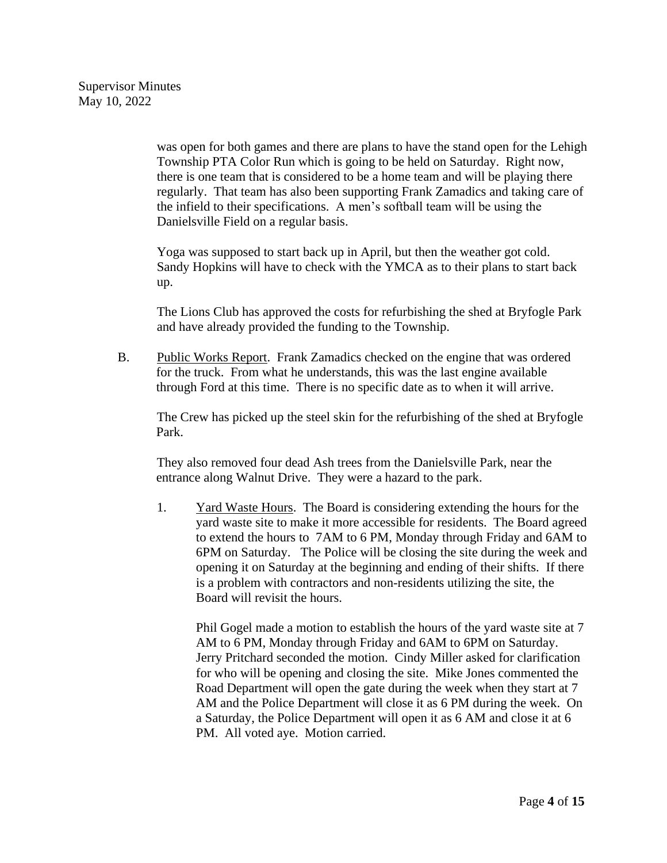was open for both games and there are plans to have the stand open for the Lehigh Township PTA Color Run which is going to be held on Saturday. Right now, there is one team that is considered to be a home team and will be playing there regularly. That team has also been supporting Frank Zamadics and taking care of the infield to their specifications. A men's softball team will be using the Danielsville Field on a regular basis.

Yoga was supposed to start back up in April, but then the weather got cold. Sandy Hopkins will have to check with the YMCA as to their plans to start back up.

The Lions Club has approved the costs for refurbishing the shed at Bryfogle Park and have already provided the funding to the Township.

B. Public Works Report. Frank Zamadics checked on the engine that was ordered for the truck. From what he understands, this was the last engine available through Ford at this time. There is no specific date as to when it will arrive.

The Crew has picked up the steel skin for the refurbishing of the shed at Bryfogle Park.

They also removed four dead Ash trees from the Danielsville Park, near the entrance along Walnut Drive. They were a hazard to the park.

1. Yard Waste Hours. The Board is considering extending the hours for the yard waste site to make it more accessible for residents. The Board agreed to extend the hours to 7AM to 6 PM, Monday through Friday and 6AM to 6PM on Saturday. The Police will be closing the site during the week and opening it on Saturday at the beginning and ending of their shifts. If there is a problem with contractors and non-residents utilizing the site, the Board will revisit the hours.

Phil Gogel made a motion to establish the hours of the yard waste site at 7 AM to 6 PM, Monday through Friday and 6AM to 6PM on Saturday. Jerry Pritchard seconded the motion. Cindy Miller asked for clarification for who will be opening and closing the site. Mike Jones commented the Road Department will open the gate during the week when they start at 7 AM and the Police Department will close it as 6 PM during the week. On a Saturday, the Police Department will open it as 6 AM and close it at 6 PM. All voted aye. Motion carried.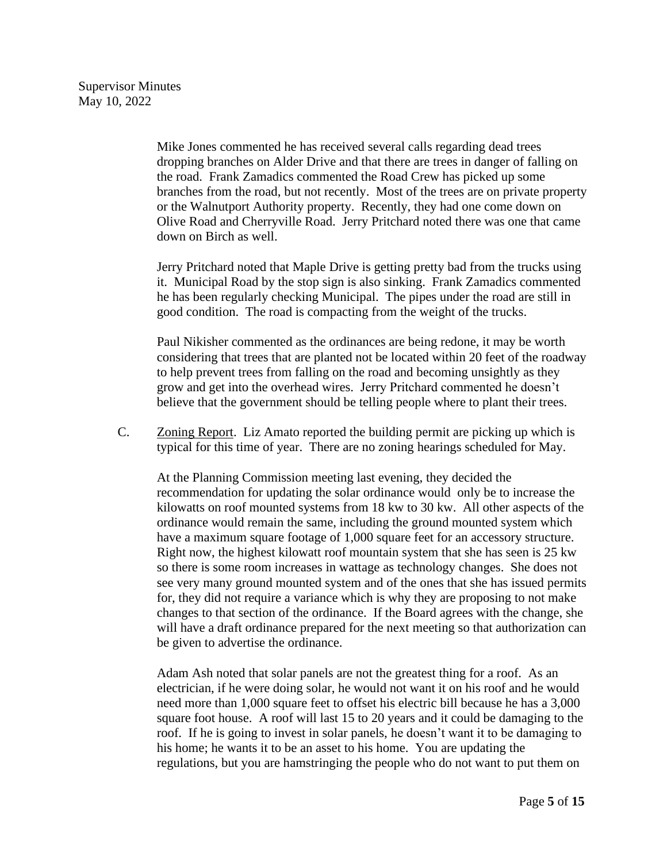Mike Jones commented he has received several calls regarding dead trees dropping branches on Alder Drive and that there are trees in danger of falling on the road. Frank Zamadics commented the Road Crew has picked up some branches from the road, but not recently. Most of the trees are on private property or the Walnutport Authority property. Recently, they had one come down on Olive Road and Cherryville Road. Jerry Pritchard noted there was one that came down on Birch as well.

Jerry Pritchard noted that Maple Drive is getting pretty bad from the trucks using it. Municipal Road by the stop sign is also sinking. Frank Zamadics commented he has been regularly checking Municipal. The pipes under the road are still in good condition. The road is compacting from the weight of the trucks.

Paul Nikisher commented as the ordinances are being redone, it may be worth considering that trees that are planted not be located within 20 feet of the roadway to help prevent trees from falling on the road and becoming unsightly as they grow and get into the overhead wires. Jerry Pritchard commented he doesn't believe that the government should be telling people where to plant their trees.

C. Zoning Report. Liz Amato reported the building permit are picking up which is typical for this time of year. There are no zoning hearings scheduled for May.

At the Planning Commission meeting last evening, they decided the recommendation for updating the solar ordinance would only be to increase the kilowatts on roof mounted systems from 18 kw to 30 kw. All other aspects of the ordinance would remain the same, including the ground mounted system which have a maximum square footage of 1,000 square feet for an accessory structure. Right now, the highest kilowatt roof mountain system that she has seen is 25 kw so there is some room increases in wattage as technology changes. She does not see very many ground mounted system and of the ones that she has issued permits for, they did not require a variance which is why they are proposing to not make changes to that section of the ordinance. If the Board agrees with the change, she will have a draft ordinance prepared for the next meeting so that authorization can be given to advertise the ordinance.

Adam Ash noted that solar panels are not the greatest thing for a roof. As an electrician, if he were doing solar, he would not want it on his roof and he would need more than 1,000 square feet to offset his electric bill because he has a 3,000 square foot house. A roof will last 15 to 20 years and it could be damaging to the roof. If he is going to invest in solar panels, he doesn't want it to be damaging to his home; he wants it to be an asset to his home. You are updating the regulations, but you are hamstringing the people who do not want to put them on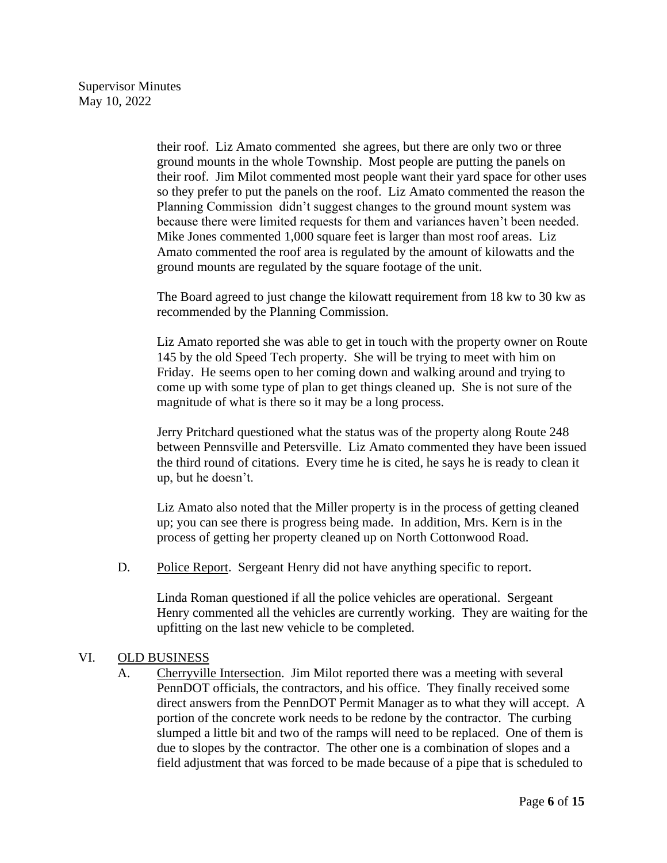their roof. Liz Amato commented she agrees, but there are only two or three ground mounts in the whole Township. Most people are putting the panels on their roof. Jim Milot commented most people want their yard space for other uses so they prefer to put the panels on the roof. Liz Amato commented the reason the Planning Commission didn't suggest changes to the ground mount system was because there were limited requests for them and variances haven't been needed. Mike Jones commented 1,000 square feet is larger than most roof areas. Liz Amato commented the roof area is regulated by the amount of kilowatts and the ground mounts are regulated by the square footage of the unit.

The Board agreed to just change the kilowatt requirement from 18 kw to 30 kw as recommended by the Planning Commission.

Liz Amato reported she was able to get in touch with the property owner on Route 145 by the old Speed Tech property. She will be trying to meet with him on Friday. He seems open to her coming down and walking around and trying to come up with some type of plan to get things cleaned up. She is not sure of the magnitude of what is there so it may be a long process.

Jerry Pritchard questioned what the status was of the property along Route 248 between Pennsville and Petersville. Liz Amato commented they have been issued the third round of citations. Every time he is cited, he says he is ready to clean it up, but he doesn't.

Liz Amato also noted that the Miller property is in the process of getting cleaned up; you can see there is progress being made. In addition, Mrs. Kern is in the process of getting her property cleaned up on North Cottonwood Road.

D. Police Report. Sergeant Henry did not have anything specific to report.

Linda Roman questioned if all the police vehicles are operational. Sergeant Henry commented all the vehicles are currently working. They are waiting for the upfitting on the last new vehicle to be completed.

## VI. OLD BUSINESS

A. Cherryville Intersection. Jim Milot reported there was a meeting with several PennDOT officials, the contractors, and his office. They finally received some direct answers from the PennDOT Permit Manager as to what they will accept. A portion of the concrete work needs to be redone by the contractor. The curbing slumped a little bit and two of the ramps will need to be replaced. One of them is due to slopes by the contractor. The other one is a combination of slopes and a field adjustment that was forced to be made because of a pipe that is scheduled to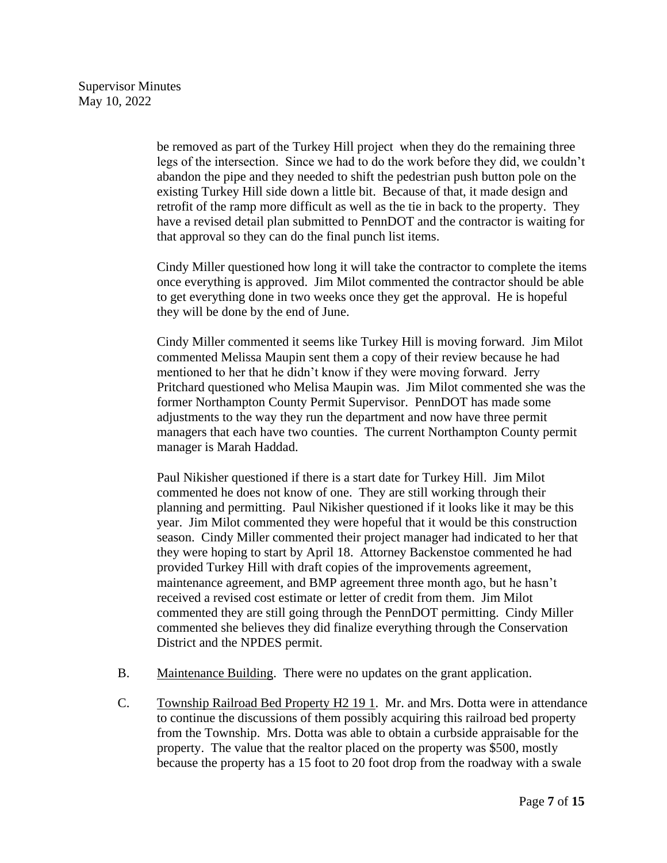be removed as part of the Turkey Hill project when they do the remaining three legs of the intersection. Since we had to do the work before they did, we couldn't abandon the pipe and they needed to shift the pedestrian push button pole on the existing Turkey Hill side down a little bit. Because of that, it made design and retrofit of the ramp more difficult as well as the tie in back to the property. They have a revised detail plan submitted to PennDOT and the contractor is waiting for that approval so they can do the final punch list items.

Cindy Miller questioned how long it will take the contractor to complete the items once everything is approved. Jim Milot commented the contractor should be able to get everything done in two weeks once they get the approval. He is hopeful they will be done by the end of June.

Cindy Miller commented it seems like Turkey Hill is moving forward. Jim Milot commented Melissa Maupin sent them a copy of their review because he had mentioned to her that he didn't know if they were moving forward. Jerry Pritchard questioned who Melisa Maupin was. Jim Milot commented she was the former Northampton County Permit Supervisor. PennDOT has made some adjustments to the way they run the department and now have three permit managers that each have two counties. The current Northampton County permit manager is Marah Haddad.

Paul Nikisher questioned if there is a start date for Turkey Hill. Jim Milot commented he does not know of one. They are still working through their planning and permitting. Paul Nikisher questioned if it looks like it may be this year. Jim Milot commented they were hopeful that it would be this construction season. Cindy Miller commented their project manager had indicated to her that they were hoping to start by April 18. Attorney Backenstoe commented he had provided Turkey Hill with draft copies of the improvements agreement, maintenance agreement, and BMP agreement three month ago, but he hasn't received a revised cost estimate or letter of credit from them. Jim Milot commented they are still going through the PennDOT permitting. Cindy Miller commented she believes they did finalize everything through the Conservation District and the NPDES permit.

- B. Maintenance Building. There were no updates on the grant application.
- C. Township Railroad Bed Property H2 19 1. Mr. and Mrs. Dotta were in attendance to continue the discussions of them possibly acquiring this railroad bed property from the Township. Mrs. Dotta was able to obtain a curbside appraisable for the property. The value that the realtor placed on the property was \$500, mostly because the property has a 15 foot to 20 foot drop from the roadway with a swale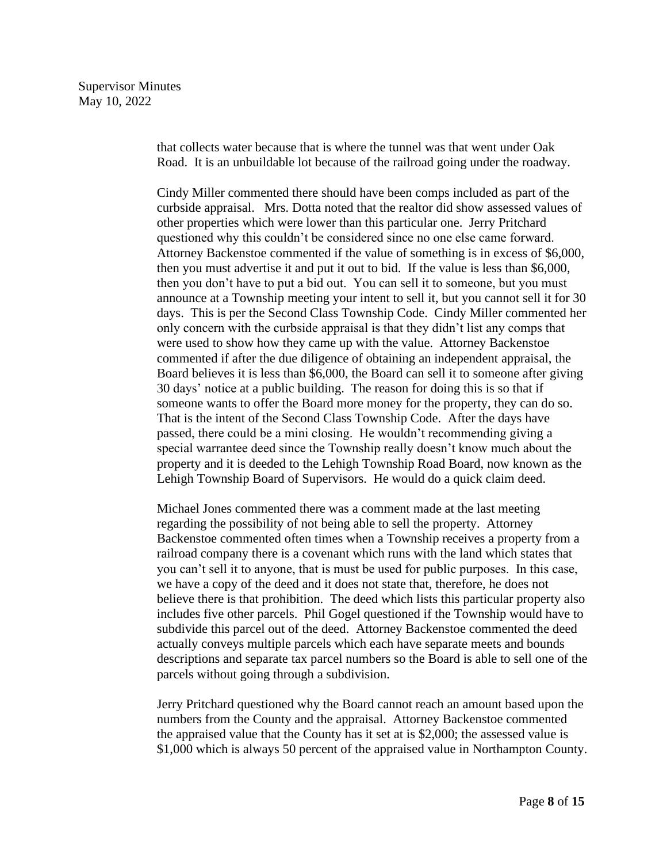that collects water because that is where the tunnel was that went under Oak Road. It is an unbuildable lot because of the railroad going under the roadway.

Cindy Miller commented there should have been comps included as part of the curbside appraisal. Mrs. Dotta noted that the realtor did show assessed values of other properties which were lower than this particular one. Jerry Pritchard questioned why this couldn't be considered since no one else came forward. Attorney Backenstoe commented if the value of something is in excess of \$6,000, then you must advertise it and put it out to bid. If the value is less than \$6,000, then you don't have to put a bid out. You can sell it to someone, but you must announce at a Township meeting your intent to sell it, but you cannot sell it for 30 days. This is per the Second Class Township Code. Cindy Miller commented her only concern with the curbside appraisal is that they didn't list any comps that were used to show how they came up with the value. Attorney Backenstoe commented if after the due diligence of obtaining an independent appraisal, the Board believes it is less than \$6,000, the Board can sell it to someone after giving 30 days' notice at a public building. The reason for doing this is so that if someone wants to offer the Board more money for the property, they can do so. That is the intent of the Second Class Township Code. After the days have passed, there could be a mini closing. He wouldn't recommending giving a special warrantee deed since the Township really doesn't know much about the property and it is deeded to the Lehigh Township Road Board, now known as the Lehigh Township Board of Supervisors. He would do a quick claim deed.

Michael Jones commented there was a comment made at the last meeting regarding the possibility of not being able to sell the property. Attorney Backenstoe commented often times when a Township receives a property from a railroad company there is a covenant which runs with the land which states that you can't sell it to anyone, that is must be used for public purposes. In this case, we have a copy of the deed and it does not state that, therefore, he does not believe there is that prohibition. The deed which lists this particular property also includes five other parcels. Phil Gogel questioned if the Township would have to subdivide this parcel out of the deed. Attorney Backenstoe commented the deed actually conveys multiple parcels which each have separate meets and bounds descriptions and separate tax parcel numbers so the Board is able to sell one of the parcels without going through a subdivision.

Jerry Pritchard questioned why the Board cannot reach an amount based upon the numbers from the County and the appraisal. Attorney Backenstoe commented the appraised value that the County has it set at is \$2,000; the assessed value is \$1,000 which is always 50 percent of the appraised value in Northampton County.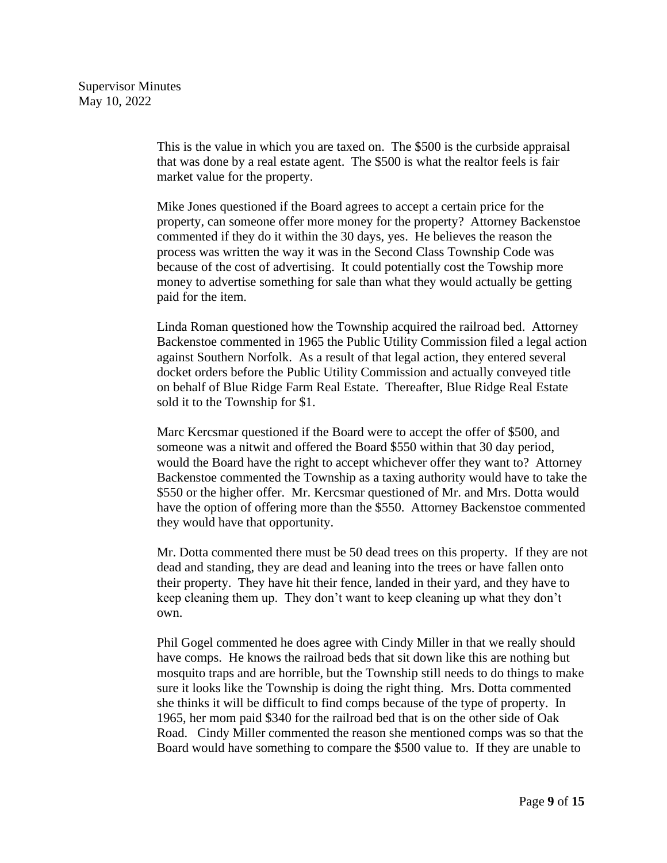This is the value in which you are taxed on. The \$500 is the curbside appraisal that was done by a real estate agent. The \$500 is what the realtor feels is fair market value for the property.

Mike Jones questioned if the Board agrees to accept a certain price for the property, can someone offer more money for the property? Attorney Backenstoe commented if they do it within the 30 days, yes. He believes the reason the process was written the way it was in the Second Class Township Code was because of the cost of advertising. It could potentially cost the Towship more money to advertise something for sale than what they would actually be getting paid for the item.

Linda Roman questioned how the Township acquired the railroad bed. Attorney Backenstoe commented in 1965 the Public Utility Commission filed a legal action against Southern Norfolk. As a result of that legal action, they entered several docket orders before the Public Utility Commission and actually conveyed title on behalf of Blue Ridge Farm Real Estate. Thereafter, Blue Ridge Real Estate sold it to the Township for \$1.

Marc Kercsmar questioned if the Board were to accept the offer of \$500, and someone was a nitwit and offered the Board \$550 within that 30 day period, would the Board have the right to accept whichever offer they want to? Attorney Backenstoe commented the Township as a taxing authority would have to take the \$550 or the higher offer. Mr. Kercsmar questioned of Mr. and Mrs. Dotta would have the option of offering more than the \$550. Attorney Backenstoe commented they would have that opportunity.

Mr. Dotta commented there must be 50 dead trees on this property. If they are not dead and standing, they are dead and leaning into the trees or have fallen onto their property. They have hit their fence, landed in their yard, and they have to keep cleaning them up. They don't want to keep cleaning up what they don't own.

Phil Gogel commented he does agree with Cindy Miller in that we really should have comps. He knows the railroad beds that sit down like this are nothing but mosquito traps and are horrible, but the Township still needs to do things to make sure it looks like the Township is doing the right thing. Mrs. Dotta commented she thinks it will be difficult to find comps because of the type of property. In 1965, her mom paid \$340 for the railroad bed that is on the other side of Oak Road. Cindy Miller commented the reason she mentioned comps was so that the Board would have something to compare the \$500 value to. If they are unable to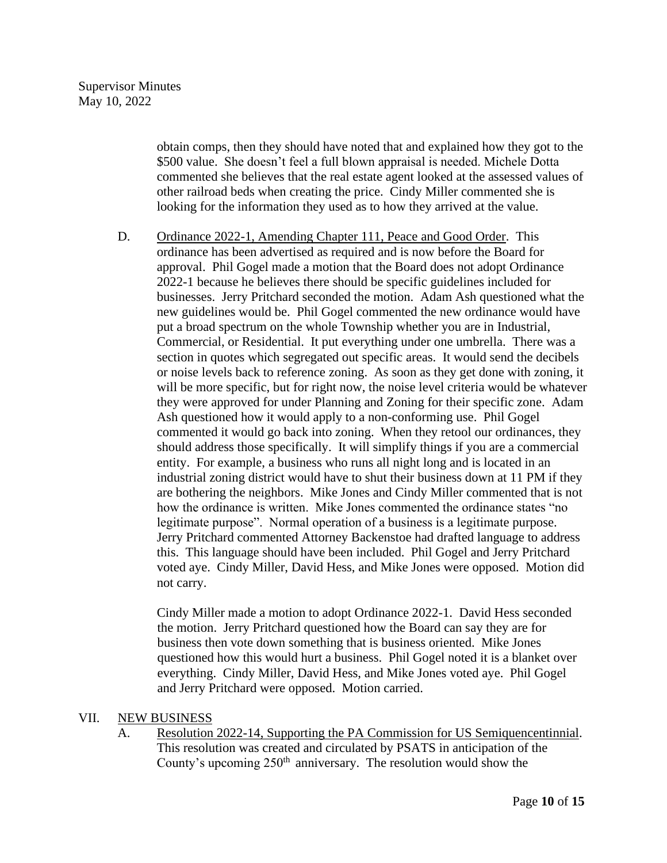obtain comps, then they should have noted that and explained how they got to the \$500 value. She doesn't feel a full blown appraisal is needed. Michele Dotta commented she believes that the real estate agent looked at the assessed values of other railroad beds when creating the price. Cindy Miller commented she is looking for the information they used as to how they arrived at the value.

D. Ordinance 2022-1, Amending Chapter 111, Peace and Good Order. This ordinance has been advertised as required and is now before the Board for approval. Phil Gogel made a motion that the Board does not adopt Ordinance 2022-1 because he believes there should be specific guidelines included for businesses. Jerry Pritchard seconded the motion. Adam Ash questioned what the new guidelines would be. Phil Gogel commented the new ordinance would have put a broad spectrum on the whole Township whether you are in Industrial, Commercial, or Residential. It put everything under one umbrella. There was a section in quotes which segregated out specific areas. It would send the decibels or noise levels back to reference zoning. As soon as they get done with zoning, it will be more specific, but for right now, the noise level criteria would be whatever they were approved for under Planning and Zoning for their specific zone. Adam Ash questioned how it would apply to a non-conforming use. Phil Gogel commented it would go back into zoning. When they retool our ordinances, they should address those specifically. It will simplify things if you are a commercial entity. For example, a business who runs all night long and is located in an industrial zoning district would have to shut their business down at 11 PM if they are bothering the neighbors. Mike Jones and Cindy Miller commented that is not how the ordinance is written. Mike Jones commented the ordinance states "no legitimate purpose". Normal operation of a business is a legitimate purpose. Jerry Pritchard commented Attorney Backenstoe had drafted language to address this. This language should have been included. Phil Gogel and Jerry Pritchard voted aye. Cindy Miller, David Hess, and Mike Jones were opposed. Motion did not carry.

Cindy Miller made a motion to adopt Ordinance 2022-1. David Hess seconded the motion. Jerry Pritchard questioned how the Board can say they are for business then vote down something that is business oriented. Mike Jones questioned how this would hurt a business. Phil Gogel noted it is a blanket over everything. Cindy Miller, David Hess, and Mike Jones voted aye. Phil Gogel and Jerry Pritchard were opposed. Motion carried.

## VII. NEW BUSINESS

A. Resolution 2022-14, Supporting the PA Commission for US Semiquencentinnial. This resolution was created and circulated by PSATS in anticipation of the County's upcoming  $250<sup>th</sup>$  anniversary. The resolution would show the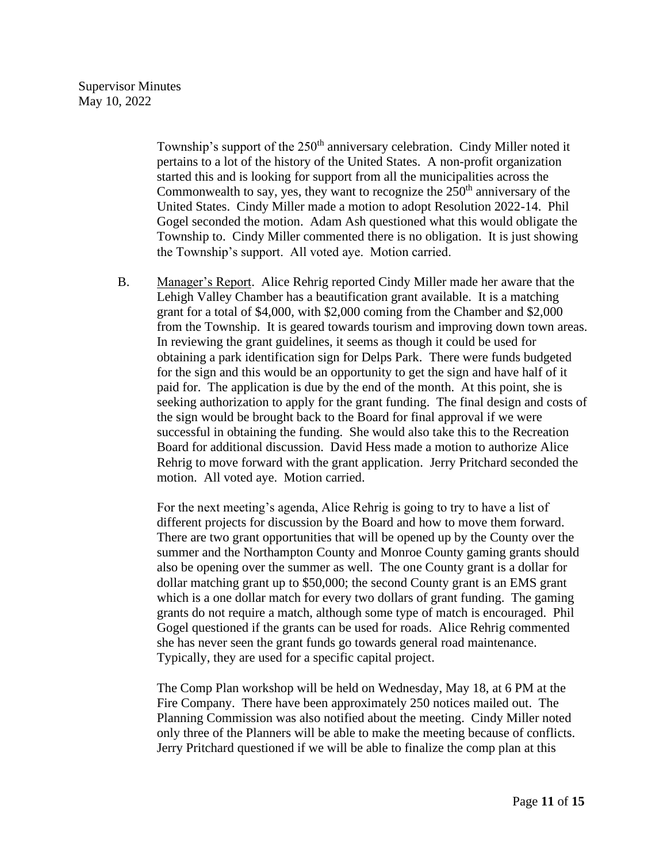Township's support of the 250<sup>th</sup> anniversary celebration. Cindy Miller noted it pertains to a lot of the history of the United States. A non-profit organization started this and is looking for support from all the municipalities across the Commonwealth to say, yes, they want to recognize the  $250<sup>th</sup>$  anniversary of the United States. Cindy Miller made a motion to adopt Resolution 2022-14. Phil Gogel seconded the motion. Adam Ash questioned what this would obligate the Township to. Cindy Miller commented there is no obligation. It is just showing the Township's support. All voted aye. Motion carried.

B. Manager's Report. Alice Rehrig reported Cindy Miller made her aware that the Lehigh Valley Chamber has a beautification grant available. It is a matching grant for a total of \$4,000, with \$2,000 coming from the Chamber and \$2,000 from the Township. It is geared towards tourism and improving down town areas. In reviewing the grant guidelines, it seems as though it could be used for obtaining a park identification sign for Delps Park. There were funds budgeted for the sign and this would be an opportunity to get the sign and have half of it paid for. The application is due by the end of the month. At this point, she is seeking authorization to apply for the grant funding. The final design and costs of the sign would be brought back to the Board for final approval if we were successful in obtaining the funding. She would also take this to the Recreation Board for additional discussion. David Hess made a motion to authorize Alice Rehrig to move forward with the grant application. Jerry Pritchard seconded the motion. All voted aye. Motion carried.

For the next meeting's agenda, Alice Rehrig is going to try to have a list of different projects for discussion by the Board and how to move them forward. There are two grant opportunities that will be opened up by the County over the summer and the Northampton County and Monroe County gaming grants should also be opening over the summer as well. The one County grant is a dollar for dollar matching grant up to \$50,000; the second County grant is an EMS grant which is a one dollar match for every two dollars of grant funding. The gaming grants do not require a match, although some type of match is encouraged. Phil Gogel questioned if the grants can be used for roads. Alice Rehrig commented she has never seen the grant funds go towards general road maintenance. Typically, they are used for a specific capital project.

The Comp Plan workshop will be held on Wednesday, May 18, at 6 PM at the Fire Company. There have been approximately 250 notices mailed out. The Planning Commission was also notified about the meeting. Cindy Miller noted only three of the Planners will be able to make the meeting because of conflicts. Jerry Pritchard questioned if we will be able to finalize the comp plan at this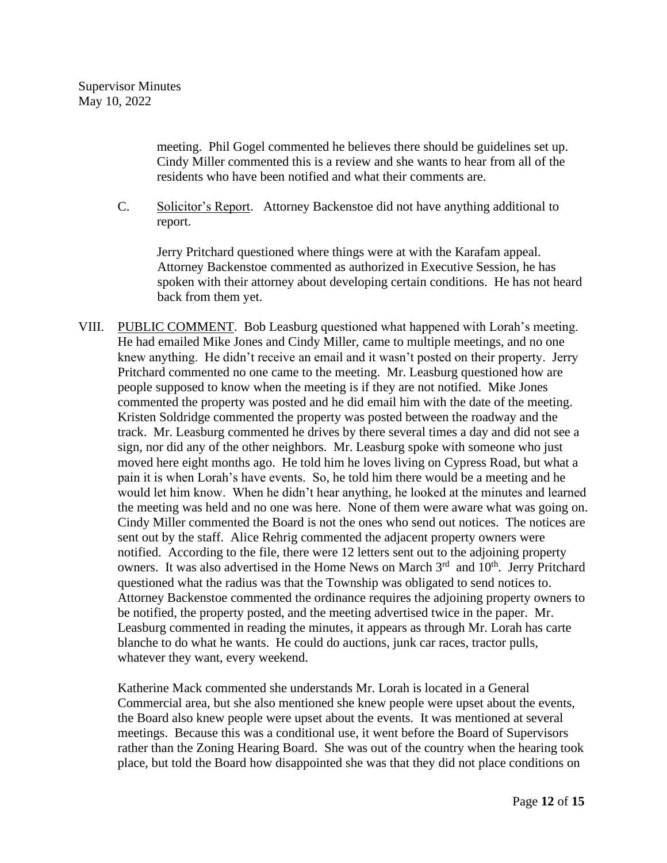meeting. Phil Gogel commented he believes there should be guidelines set up. Cindy Miller commented this is a review and she wants to hear from all of the residents who have been notified and what their comments are.

C. Solicitor's Report. Attorney Backenstoe did not have anything additional to report.

Jerry Pritchard questioned where things were at with the Karafam appeal. Attorney Backenstoe commented as authorized in Executive Session, he has spoken with their attorney about developing certain conditions. He has not heard back from them yet.

VIII. PUBLIC COMMENT. Bob Leasburg questioned what happened with Lorah's meeting. He had emailed Mike Jones and Cindy Miller, came to multiple meetings, and no one knew anything. He didn't receive an email and it wasn't posted on their property. Jerry Pritchard commented no one came to the meeting. Mr. Leasburg questioned how are people supposed to know when the meeting is if they are not notified. Mike Jones commented the property was posted and he did email him with the date of the meeting. Kristen Soldridge commented the property was posted between the roadway and the track. Mr. Leasburg commented he drives by there several times a day and did not see a sign, nor did any of the other neighbors. Mr. Leasburg spoke with someone who just moved here eight months ago. He told him he loves living on Cypress Road, but what a pain it is when Lorah's have events. So, he told him there would be a meeting and he would let him know. When he didn't hear anything, he looked at the minutes and learned the meeting was held and no one was here. None of them were aware what was going on. Cindy Miller commented the Board is not the ones who send out notices. The notices are sent out by the staff. Alice Rehrig commented the adjacent property owners were notified. According to the file, there were 12 letters sent out to the adjoining property owners. It was also advertised in the Home News on March  $3<sup>rd</sup>$  and  $10<sup>th</sup>$ . Jerry Pritchard questioned what the radius was that the Township was obligated to send notices to. Attorney Backenstoe commented the ordinance requires the adjoining property owners to be notified, the property posted, and the meeting advertised twice in the paper. Mr. Leasburg commented in reading the minutes, it appears as through Mr. Lorah has carte blanche to do what he wants. He could do auctions, junk car races, tractor pulls, whatever they want, every weekend.

Katherine Mack commented she understands Mr. Lorah is located in a General Commercial area, but she also mentioned she knew people were upset about the events, the Board also knew people were upset about the events. It was mentioned at several meetings. Because this was a conditional use, it went before the Board of Supervisors rather than the Zoning Hearing Board. She was out of the country when the hearing took place, but told the Board how disappointed she was that they did not place conditions on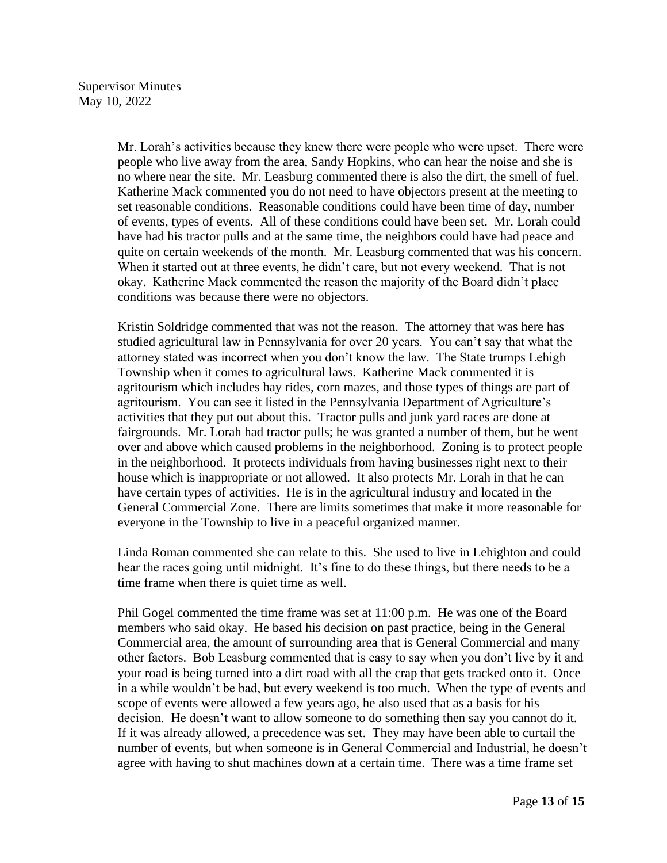Mr. Lorah's activities because they knew there were people who were upset. There were people who live away from the area, Sandy Hopkins, who can hear the noise and she is no where near the site. Mr. Leasburg commented there is also the dirt, the smell of fuel. Katherine Mack commented you do not need to have objectors present at the meeting to set reasonable conditions. Reasonable conditions could have been time of day, number of events, types of events. All of these conditions could have been set. Mr. Lorah could have had his tractor pulls and at the same time, the neighbors could have had peace and quite on certain weekends of the month. Mr. Leasburg commented that was his concern. When it started out at three events, he didn't care, but not every weekend. That is not okay. Katherine Mack commented the reason the majority of the Board didn't place conditions was because there were no objectors.

Kristin Soldridge commented that was not the reason. The attorney that was here has studied agricultural law in Pennsylvania for over 20 years. You can't say that what the attorney stated was incorrect when you don't know the law. The State trumps Lehigh Township when it comes to agricultural laws. Katherine Mack commented it is agritourism which includes hay rides, corn mazes, and those types of things are part of agritourism. You can see it listed in the Pennsylvania Department of Agriculture's activities that they put out about this. Tractor pulls and junk yard races are done at fairgrounds. Mr. Lorah had tractor pulls; he was granted a number of them, but he went over and above which caused problems in the neighborhood. Zoning is to protect people in the neighborhood. It protects individuals from having businesses right next to their house which is inappropriate or not allowed. It also protects Mr. Lorah in that he can have certain types of activities. He is in the agricultural industry and located in the General Commercial Zone. There are limits sometimes that make it more reasonable for everyone in the Township to live in a peaceful organized manner.

Linda Roman commented she can relate to this. She used to live in Lehighton and could hear the races going until midnight. It's fine to do these things, but there needs to be a time frame when there is quiet time as well.

Phil Gogel commented the time frame was set at 11:00 p.m. He was one of the Board members who said okay. He based his decision on past practice, being in the General Commercial area, the amount of surrounding area that is General Commercial and many other factors. Bob Leasburg commented that is easy to say when you don't live by it and your road is being turned into a dirt road with all the crap that gets tracked onto it. Once in a while wouldn't be bad, but every weekend is too much. When the type of events and scope of events were allowed a few years ago, he also used that as a basis for his decision. He doesn't want to allow someone to do something then say you cannot do it. If it was already allowed, a precedence was set. They may have been able to curtail the number of events, but when someone is in General Commercial and Industrial, he doesn't agree with having to shut machines down at a certain time. There was a time frame set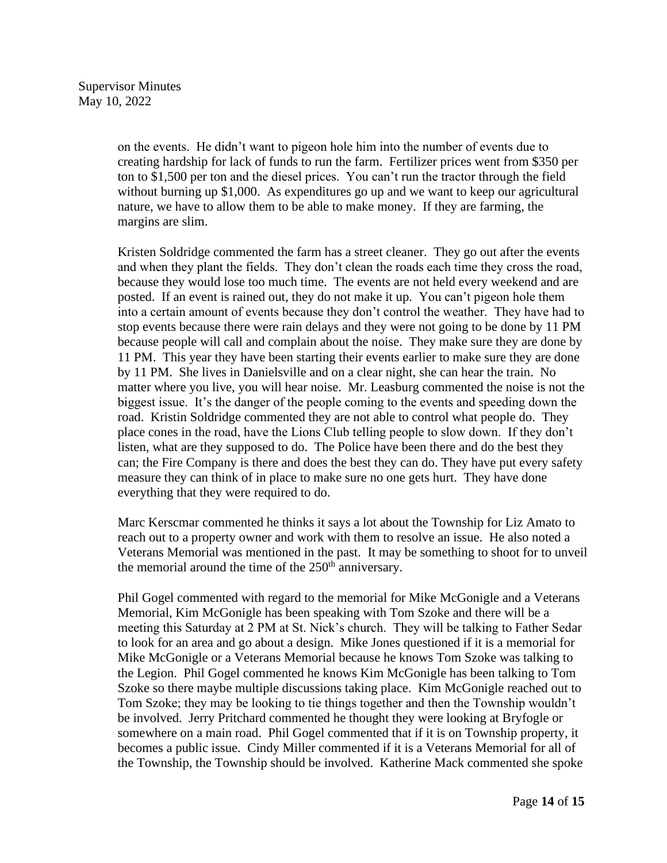on the events. He didn't want to pigeon hole him into the number of events due to creating hardship for lack of funds to run the farm. Fertilizer prices went from \$350 per ton to \$1,500 per ton and the diesel prices. You can't run the tractor through the field without burning up \$1,000. As expenditures go up and we want to keep our agricultural nature, we have to allow them to be able to make money. If they are farming, the margins are slim.

Kristen Soldridge commented the farm has a street cleaner. They go out after the events and when they plant the fields. They don't clean the roads each time they cross the road, because they would lose too much time. The events are not held every weekend and are posted. If an event is rained out, they do not make it up. You can't pigeon hole them into a certain amount of events because they don't control the weather. They have had to stop events because there were rain delays and they were not going to be done by 11 PM because people will call and complain about the noise. They make sure they are done by 11 PM. This year they have been starting their events earlier to make sure they are done by 11 PM. She lives in Danielsville and on a clear night, she can hear the train. No matter where you live, you will hear noise. Mr. Leasburg commented the noise is not the biggest issue. It's the danger of the people coming to the events and speeding down the road. Kristin Soldridge commented they are not able to control what people do. They place cones in the road, have the Lions Club telling people to slow down. If they don't listen, what are they supposed to do. The Police have been there and do the best they can; the Fire Company is there and does the best they can do. They have put every safety measure they can think of in place to make sure no one gets hurt. They have done everything that they were required to do.

Marc Kerscmar commented he thinks it says a lot about the Township for Liz Amato to reach out to a property owner and work with them to resolve an issue. He also noted a Veterans Memorial was mentioned in the past. It may be something to shoot for to unveil the memorial around the time of the  $250<sup>th</sup>$  anniversary.

Phil Gogel commented with regard to the memorial for Mike McGonigle and a Veterans Memorial, Kim McGonigle has been speaking with Tom Szoke and there will be a meeting this Saturday at 2 PM at St. Nick's church. They will be talking to Father Sedar to look for an area and go about a design. Mike Jones questioned if it is a memorial for Mike McGonigle or a Veterans Memorial because he knows Tom Szoke was talking to the Legion. Phil Gogel commented he knows Kim McGonigle has been talking to Tom Szoke so there maybe multiple discussions taking place. Kim McGonigle reached out to Tom Szoke; they may be looking to tie things together and then the Township wouldn't be involved. Jerry Pritchard commented he thought they were looking at Bryfogle or somewhere on a main road. Phil Gogel commented that if it is on Township property, it becomes a public issue. Cindy Miller commented if it is a Veterans Memorial for all of the Township, the Township should be involved. Katherine Mack commented she spoke